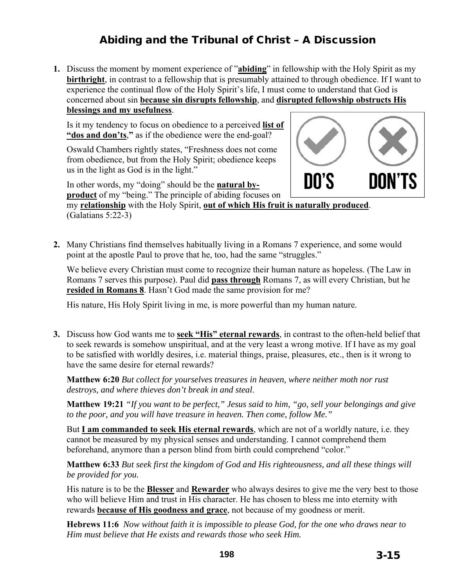# Abiding and the Tribunal of Christ – A Discussion

**1.** Discuss the moment by moment experience of "**abiding**" in fellowship with the Holy Spirit as my **birthright**, in contrast to a fellowship that is presumably attained to through obedience. If I want to experience the continual flow of the Holy Spirit's life, I must come to understand that God is concerned about sin **because sin disrupts fellowship**, and **disrupted fellowship obstructs His blessings and my usefulness**.

Is it my tendency to focus on obedience to a perceived **list of "dos and don'ts**,**"** as if the obedience were the end-goal?

Oswald Chambers rightly states, "Freshness does not come from obedience, but from the Holy Spirit; obedience keeps us in the light as God is in the light."

In other words, my "doing" should be the **natural byproduct** of my "being." The principle of abiding focuses on

my **relationship** with the Holy Spirit, **out of which His fruit is naturally produced**. (Galatians 5:22-3)

**2.** Many Christians find themselves habitually living in a Romans 7 experience, and some would point at the apostle Paul to prove that he, too, had the same "struggles."

We believe every Christian must come to recognize their human nature as hopeless. (The Law in Romans 7 serves this purpose). Paul did **pass through** Romans 7, as will every Christian, but he **resided in Romans 8**. Hasn't God made the same provision for me?

His nature, His Holy Spirit living in me, is more powerful than my human nature.

**3.** Discuss how God wants me to **seek "His" eternal rewards**, in contrast to the often-held belief that to seek rewards is somehow unspiritual, and at the very least a wrong motive. If I have as my goal to be satisfied with worldly desires, i.e. material things, praise, pleasures, etc., then is it wrong to have the same desire for eternal rewards?

**Matthew 6:20** *But collect for yourselves treasures in heaven, where neither moth nor rust destroys, and where thieves don't break in and steal*.

**Matthew 19:21** *"If you want to be perfect," Jesus said to him, "go, sell your belongings and give to the poor, and you will have treasure in heaven. Then come, follow Me."*

But **I am commanded to seek His eternal rewards**, which are not of a worldly nature, i.e. they cannot be measured by my physical senses and understanding. I cannot comprehend them beforehand, anymore than a person blind from birth could comprehend "color."

**Matthew 6:33** *But seek first the kingdom of God and His righteousness, and all these things will be provided for you.*

His nature is to be the **Blesser** and **Rewarder** who always desires to give me the very best to those who will believe Him and trust in His character. He has chosen to bless me into eternity with rewards **because of His goodness and grace**, not because of my goodness or merit.

**Hebrews 11:6** *Now without faith it is impossible to please God, for the one who draws near to Him must believe that He exists and rewards those who seek Him.* 

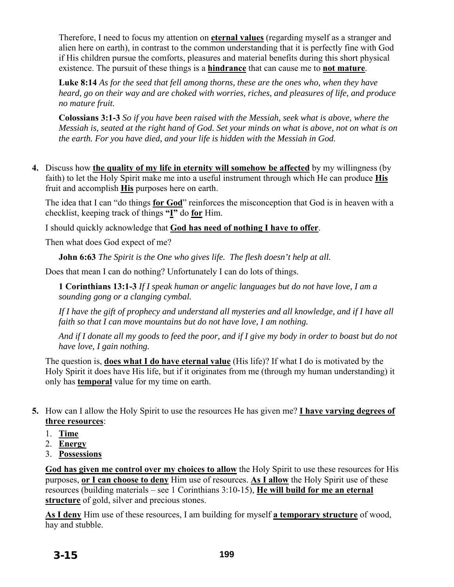Therefore, I need to focus my attention on **eternal values** (regarding myself as a stranger and alien here on earth), in contrast to the common understanding that it is perfectly fine with God if His children pursue the comforts, pleasures and material benefits during this short physical existence. The pursuit of these things is a **hindrance** that can cause me to **not mature**.

**Luke 8:14** *As for the seed that fell among thorns, these are the ones who, when they have heard, go on their way and are choked with worries, riches, and pleasures of life, and produce no mature fruit.*

**Colossians 3:1-3** *So if you have been raised with the Messiah, seek what is above, where the Messiah is, seated at the right hand of God. Set your minds on what is above, not on what is on the earth. For you have died, and your life is hidden with the Messiah in God.*

**4.** Discuss how **the quality of my life in eternity will somehow be affected** by my willingness (by faith) to let the Holy Spirit make me into a useful instrument through which He can produce **His** fruit and accomplish **His** purposes here on earth.

The idea that I can "do things **for God**" reinforces the misconception that God is in heaven with a checklist, keeping track of things **"I"** do **for** Him.

I should quickly acknowledge that **God has need of nothing I have to offer**.

Then what does God expect of me?

**John 6:63** *The Spirit is the One who gives life. The flesh doesn't help at all.*

Does that mean I can do nothing? Unfortunately I can do lots of things.

**1 Corinthians 13:1-3** *If I speak human or angelic languages but do not have love, I am a sounding gong or a clanging cymbal.* 

*If I have the gift of prophecy and understand all mysteries and all knowledge, and if I have all faith so that I can move mountains but do not have love, I am nothing.* 

*And if I donate all my goods to feed the poor, and if I give my body in order to boast but do not have love, I gain nothing.* 

The question is, **does what I do have eternal value** (His life)? If what I do is motivated by the Holy Spirit it does have His life, but if it originates from me (through my human understanding) it only has **temporal** value for my time on earth.

- **5.** How can I allow the Holy Spirit to use the resources He has given me? **I have varying degrees of three resources**:
	- 1. **Time**
	- 2. **Energy**
	- 3. **Possessions**

**God has given me control over my choices to allow** the Holy Spirit to use these resources for His purposes, **or I can choose to deny** Him use of resources. **As I allow** the Holy Spirit use of these resources (building materials – see 1 Corinthians 3:10-15), **He will build for me an eternal structure** of gold, silver and precious stones.

**As I deny** Him use of these resources, I am building for myself **a temporary structure** of wood, hay and stubble.